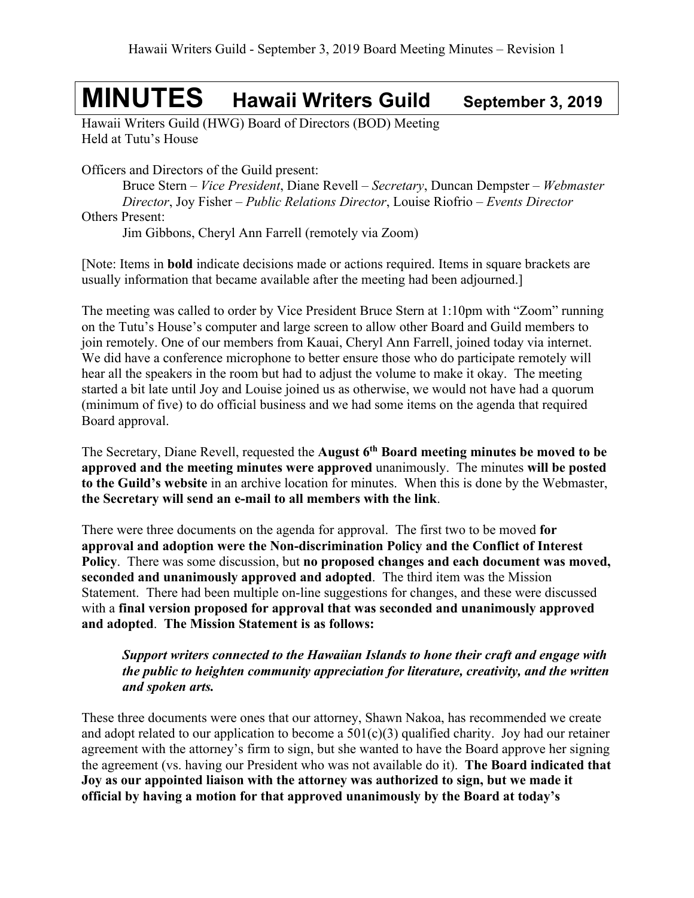# **MINUTES Hawaii Writers Guild September 3, <sup>2019</sup>**

Hawaii Writers Guild (HWG) Board of Directors (BOD) Meeting Held at Tutu's House

Officers and Directors of the Guild present:

Bruce Stern – *Vice President*, Diane Revell – *Secretary*, Duncan Dempster – *Webmaster Director*, Joy Fisher – *Public Relations Director*, Louise Riofrio – *Events Director* Others Present:

Jim Gibbons, Cheryl Ann Farrell (remotely via Zoom)

[Note: Items in **bold** indicate decisions made or actions required. Items in square brackets are usually information that became available after the meeting had been adjourned.]

The meeting was called to order by Vice President Bruce Stern at 1:10pm with "Zoom" running on the Tutu's House's computer and large screen to allow other Board and Guild members to join remotely. One of our members from Kauai, Cheryl Ann Farrell, joined today via internet. We did have a conference microphone to better ensure those who do participate remotely will hear all the speakers in the room but had to adjust the volume to make it okay. The meeting started a bit late until Joy and Louise joined us as otherwise, we would not have had a quorum (minimum of five) to do official business and we had some items on the agenda that required Board approval.

The Secretary, Diane Revell, requested the **August 6th Board meeting minutes be moved to be approved and the meeting minutes were approved** unanimously. The minutes **will be posted to the Guild's website** in an archive location for minutes. When this is done by the Webmaster, **the Secretary will send an e-mail to all members with the link**.

There were three documents on the agenda for approval. The first two to be moved **for approval and adoption were the Non-discrimination Policy and the Conflict of Interest Policy**. There was some discussion, but **no proposed changes and each document was moved, seconded and unanimously approved and adopted**. The third item was the Mission Statement. There had been multiple on-line suggestions for changes, and these were discussed with a **final version proposed for approval that was seconded and unanimously approved and adopted**. **The Mission Statement is as follows:** 

#### *Support writers connected to the Hawaiian Islands to hone their craft and engage with the public to heighten community appreciation for literature, creativity, and the written and spoken arts.*

These three documents were ones that our attorney, Shawn Nakoa, has recommended we create and adopt related to our application to become a  $501(c)(3)$  qualified charity. Joy had our retainer agreement with the attorney's firm to sign, but she wanted to have the Board approve her signing the agreement (vs. having our President who was not available do it). **The Board indicated that Joy as our appointed liaison with the attorney was authorized to sign, but we made it official by having a motion for that approved unanimously by the Board at today's**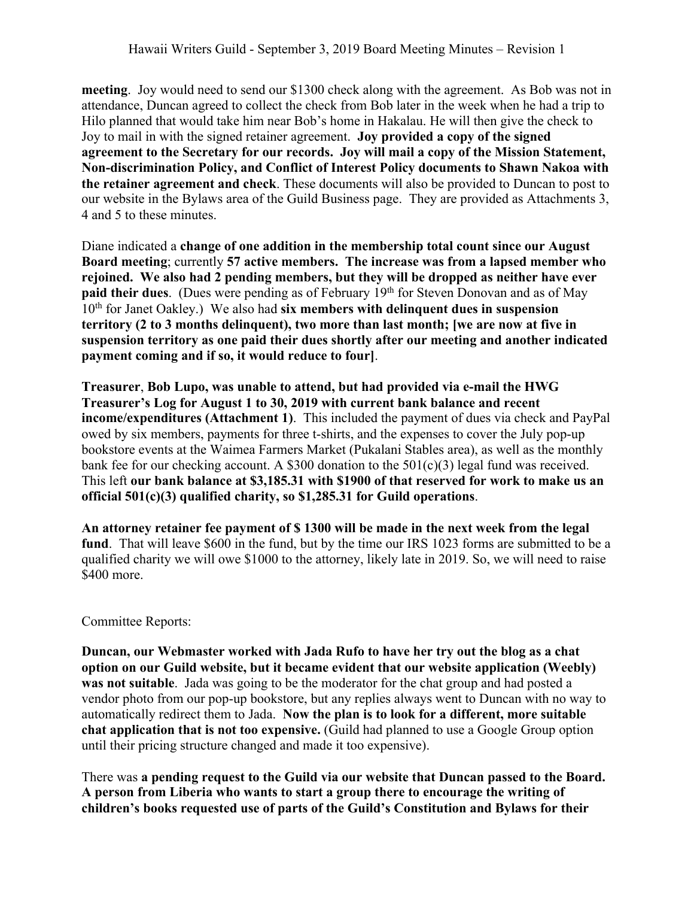**meeting**. Joy would need to send our \$1300 check along with the agreement. As Bob was not in attendance, Duncan agreed to collect the check from Bob later in the week when he had a trip to Hilo planned that would take him near Bob's home in Hakalau. He will then give the check to Joy to mail in with the signed retainer agreement. **Joy provided a copy of the signed agreement to the Secretary for our records. Joy will mail a copy of the Mission Statement, Non-discrimination Policy, and Conflict of Interest Policy documents to Shawn Nakoa with the retainer agreement and check**. These documents will also be provided to Duncan to post to our website in the Bylaws area of the Guild Business page. They are provided as Attachments 3, 4 and 5 to these minutes.

Diane indicated a **change of one addition in the membership total count since our August Board meeting**; currently **57 active members. The increase was from a lapsed member who rejoined. We also had 2 pending members, but they will be dropped as neither have ever paid their dues**. (Dues were pending as of February 19<sup>th</sup> for Steven Donovan and as of May 10th for Janet Oakley.) We also had **six members with delinquent dues in suspension territory (2 to 3 months delinquent), two more than last month; [we are now at five in suspension territory as one paid their dues shortly after our meeting and another indicated payment coming and if so, it would reduce to four]**.

**Treasurer**, **Bob Lupo, was unable to attend, but had provided via e-mail the HWG Treasurer's Log for August 1 to 30, 2019 with current bank balance and recent income/expenditures (Attachment 1)**. This included the payment of dues via check and PayPal owed by six members, payments for three t-shirts, and the expenses to cover the July pop-up bookstore events at the Waimea Farmers Market (Pukalani Stables area), as well as the monthly bank fee for our checking account. A \$300 donation to the  $501(c)(3)$  legal fund was received. This left **our bank balance at \$3,185.31 with \$1900 of that reserved for work to make us an official 501(c)(3) qualified charity, so \$1,285.31 for Guild operations**.

**An attorney retainer fee payment of \$ 1300 will be made in the next week from the legal fund**. That will leave \$600 in the fund, but by the time our IRS 1023 forms are submitted to be a qualified charity we will owe \$1000 to the attorney, likely late in 2019. So, we will need to raise \$400 more.

#### Committee Reports:

**Duncan, our Webmaster worked with Jada Rufo to have her try out the blog as a chat option on our Guild website, but it became evident that our website application (Weebly) was not suitable**. Jada was going to be the moderator for the chat group and had posted a vendor photo from our pop-up bookstore, but any replies always went to Duncan with no way to automatically redirect them to Jada. **Now the plan is to look for a different, more suitable chat application that is not too expensive.** (Guild had planned to use a Google Group option until their pricing structure changed and made it too expensive).

There was **a pending request to the Guild via our website that Duncan passed to the Board. A person from Liberia who wants to start a group there to encourage the writing of children's books requested use of parts of the Guild's Constitution and Bylaws for their**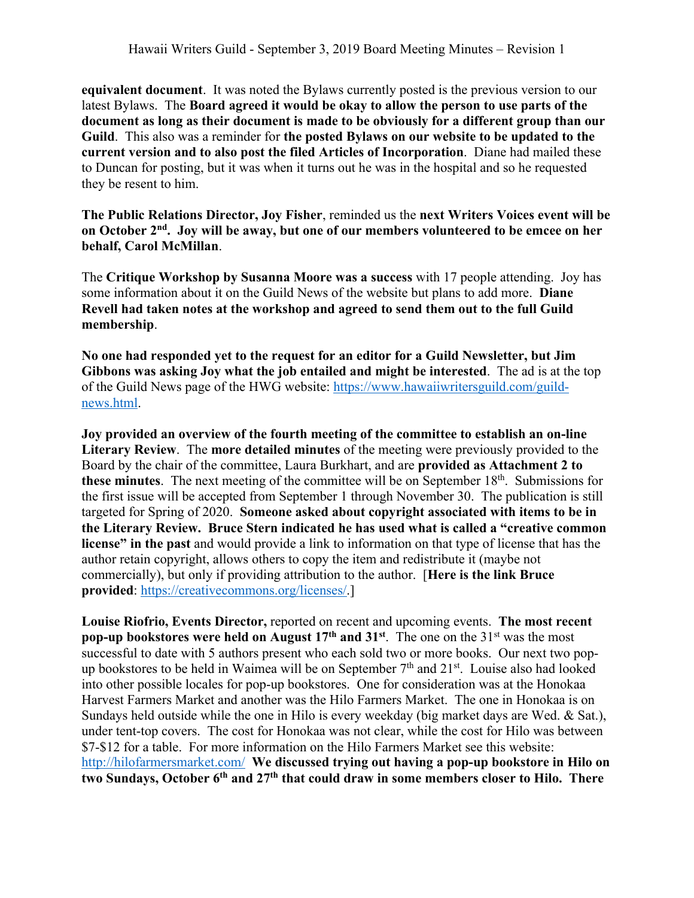**equivalent document**. It was noted the Bylaws currently posted is the previous version to our latest Bylaws. The **Board agreed it would be okay to allow the person to use parts of the document as long as their document is made to be obviously for a different group than our Guild**. This also was a reminder for **the posted Bylaws on our website to be updated to the current version and to also post the filed Articles of Incorporation**. Diane had mailed these to Duncan for posting, but it was when it turns out he was in the hospital and so he requested they be resent to him.

**The Public Relations Director, Joy Fisher**, reminded us the **next Writers Voices event will be on October 2nd. Joy will be away, but one of our members volunteered to be emcee on her behalf, Carol McMillan**.

The **Critique Workshop by Susanna Moore was a success** with 17 people attending. Joy has some information about it on the Guild News of the website but plans to add more. **Diane Revell had taken notes at the workshop and agreed to send them out to the full Guild membership**.

**No one had responded yet to the request for an editor for a Guild Newsletter, but Jim Gibbons was asking Joy what the job entailed and might be interested**. The ad is at the top of the Guild News page of the HWG website: https://www.hawaiiwritersguild.com/guildnews.html.

**Joy provided an overview of the fourth meeting of the committee to establish an on-line Literary Review**. The **more detailed minutes** of the meeting were previously provided to the Board by the chair of the committee, Laura Burkhart, and are **provided as Attachment 2 to**  these minutes. The next meeting of the committee will be on September 18<sup>th</sup>. Submissions for the first issue will be accepted from September 1 through November 30. The publication is still targeted for Spring of 2020. **Someone asked about copyright associated with items to be in the Literary Review. Bruce Stern indicated he has used what is called a "creative common license" in the past** and would provide a link to information on that type of license that has the author retain copyright, allows others to copy the item and redistribute it (maybe not commercially), but only if providing attribution to the author. [**Here is the link Bruce provided**: https://creativecommons.org/licenses/.]

**Louise Riofrio, Events Director,** reported on recent and upcoming events. **The most recent pop-up bookstores were held on August 17<sup>th</sup> and 31<sup>st</sup>. The one on the 31<sup>st</sup> was the most** successful to date with 5 authors present who each sold two or more books. Our next two popup bookstores to be held in Waimea will be on September  $7<sup>th</sup>$  and  $21<sup>st</sup>$ . Louise also had looked into other possible locales for pop-up bookstores. One for consideration was at the Honokaa Harvest Farmers Market and another was the Hilo Farmers Market. The one in Honokaa is on Sundays held outside while the one in Hilo is every weekday (big market days are Wed. & Sat.), under tent-top covers. The cost for Honokaa was not clear, while the cost for Hilo was between \$7-\$12 for a table. For more information on the Hilo Farmers Market see this website: http://hilofarmersmarket.com/ **We discussed trying out having a pop-up bookstore in Hilo on two Sundays, October 6th and 27th that could draw in some members closer to Hilo. There**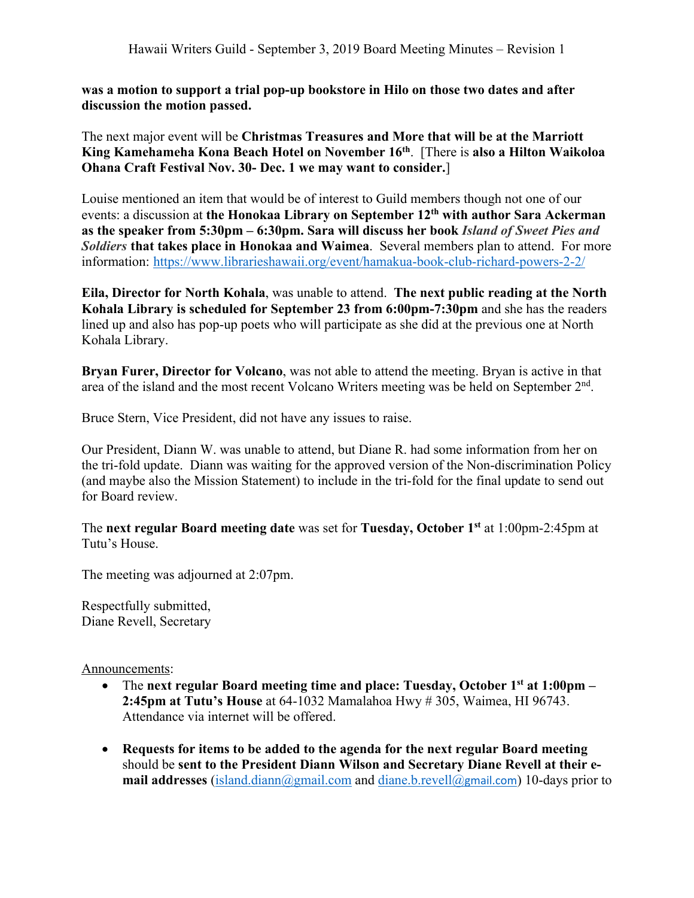**was a motion to support a trial pop-up bookstore in Hilo on those two dates and after discussion the motion passed.**

The next major event will be **Christmas Treasures and More that will be at the Marriott King Kamehameha Kona Beach Hotel on November 16th**. [There is **also a Hilton Waikoloa Ohana Craft Festival Nov. 30- Dec. 1 we may want to consider.**]

Louise mentioned an item that would be of interest to Guild members though not one of our events: a discussion at **the Honokaa Library on September 12th with author Sara Ackerman as the speaker from 5:30pm – 6:30pm. Sara will discuss her book** *Island of Sweet Pies and Soldiers* **that takes place in Honokaa and Waimea**. Several members plan to attend. For more information: https://www.librarieshawaii.org/event/hamakua-book-club-richard-powers-2-2/

**Eila, Director for North Kohala**, was unable to attend. **The next public reading at the North Kohala Library is scheduled for September 23 from 6:00pm-7:30pm** and she has the readers lined up and also has pop-up poets who will participate as she did at the previous one at North Kohala Library.

**Bryan Furer, Director for Volcano**, was not able to attend the meeting. Bryan is active in that area of the island and the most recent Volcano Writers meeting was be held on September 2nd.

Bruce Stern, Vice President, did not have any issues to raise.

Our President, Diann W. was unable to attend, but Diane R. had some information from her on the tri-fold update. Diann was waiting for the approved version of the Non-discrimination Policy (and maybe also the Mission Statement) to include in the tri-fold for the final update to send out for Board review.

The **next regular Board meeting date** was set for **Tuesday, October 1st** at 1:00pm-2:45pm at Tutu's House.

The meeting was adjourned at 2:07pm.

Respectfully submitted, Diane Revell, Secretary

Announcements:

- The **next regular Board meeting time and place: Tuesday, October 1st at 1:00pm – 2:45pm at Tutu's House** at 64-1032 Mamalahoa Hwy # 305, Waimea, HI 96743. Attendance via internet will be offered.
- **Requests for items to be added to the agenda for the next regular Board meeting** should be **sent to the President Diann Wilson and Secretary Diane Revell at their email addresses** (island.diann@gmail.com and diane.b.revell@gmail.com) 10-days prior to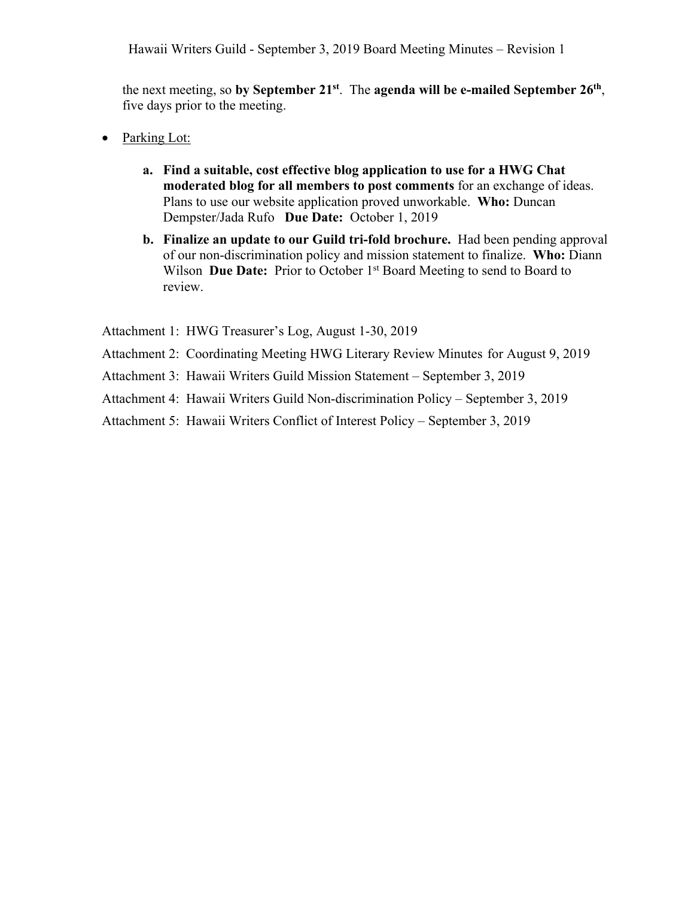the next meeting, so **by September 21st**. The **agenda will be e-mailed September 26th**, five days prior to the meeting.

- Parking Lot:
	- **a. Find a suitable, cost effective blog application to use for a HWG Chat moderated blog for all members to post comments** for an exchange of ideas. Plans to use our website application proved unworkable. **Who:** Duncan Dempster/Jada Rufo **Due Date:** October 1, 2019
	- **b. Finalize an update to our Guild tri-fold brochure.** Had been pending approval of our non-discrimination policy and mission statement to finalize. **Who:** Diann Wilson **Due Date:** Prior to October 1<sup>st</sup> Board Meeting to send to Board to review.

Attachment 1: HWG Treasurer's Log, August 1-30, 2019

- Attachment 2: Coordinating Meeting HWG Literary Review Minutes for August 9, 2019
- Attachment 3: Hawaii Writers Guild Mission Statement September 3, 2019
- Attachment 4: Hawaii Writers Guild Non-discrimination Policy September 3, 2019
- Attachment 5: Hawaii Writers Conflict of Interest Policy September 3, 2019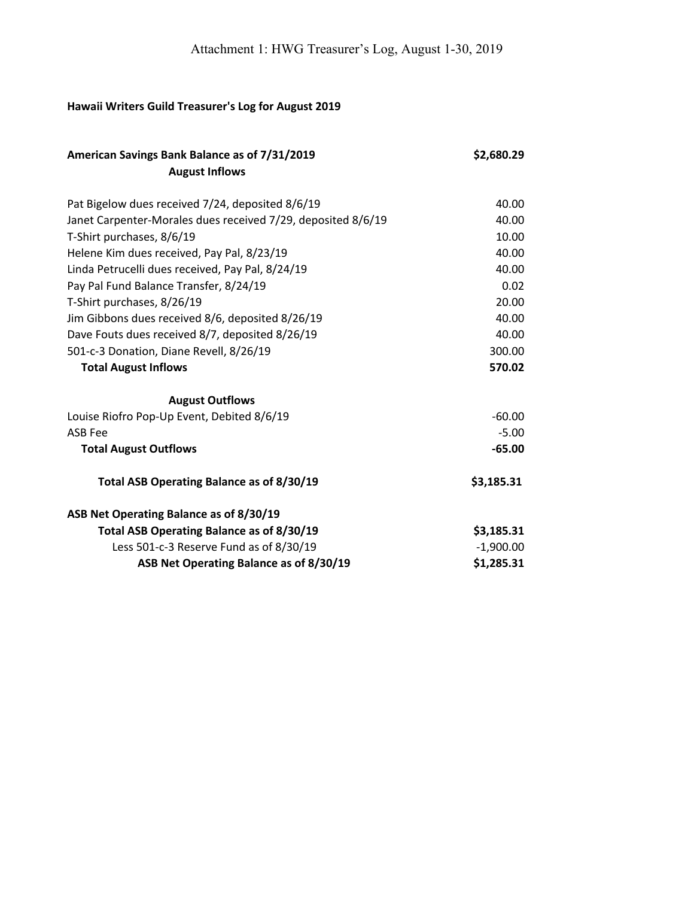## **Hawaii Writers Guild Treasurer's Log for August 2019**

| American Savings Bank Balance as of 7/31/2019<br><b>August Inflows</b> | \$2,680.29  |
|------------------------------------------------------------------------|-------------|
| Pat Bigelow dues received 7/24, deposited 8/6/19                       | 40.00       |
| Janet Carpenter-Morales dues received 7/29, deposited 8/6/19           | 40.00       |
| T-Shirt purchases, 8/6/19                                              | 10.00       |
| Helene Kim dues received, Pay Pal, 8/23/19                             | 40.00       |
| Linda Petrucelli dues received, Pay Pal, 8/24/19                       | 40.00       |
| Pay Pal Fund Balance Transfer, 8/24/19                                 | 0.02        |
| T-Shirt purchases, 8/26/19                                             | 20.00       |
| Jim Gibbons dues received 8/6, deposited 8/26/19                       | 40.00       |
| Dave Fouts dues received 8/7, deposited 8/26/19                        | 40.00       |
| 501-c-3 Donation, Diane Revell, 8/26/19                                | 300.00      |
| <b>Total August Inflows</b>                                            | 570.02      |
| <b>August Outflows</b>                                                 |             |
| Louise Riofro Pop-Up Event, Debited 8/6/19                             | $-60.00$    |
| <b>ASB Fee</b>                                                         | $-5.00$     |
| <b>Total August Outflows</b>                                           | $-65.00$    |
| Total ASB Operating Balance as of 8/30/19                              | \$3,185.31  |
| ASB Net Operating Balance as of 8/30/19                                |             |
| Total ASB Operating Balance as of 8/30/19                              | \$3,185.31  |
| Less 501-c-3 Reserve Fund as of 8/30/19                                | $-1,900.00$ |
| ASB Net Operating Balance as of 8/30/19                                | \$1,285.31  |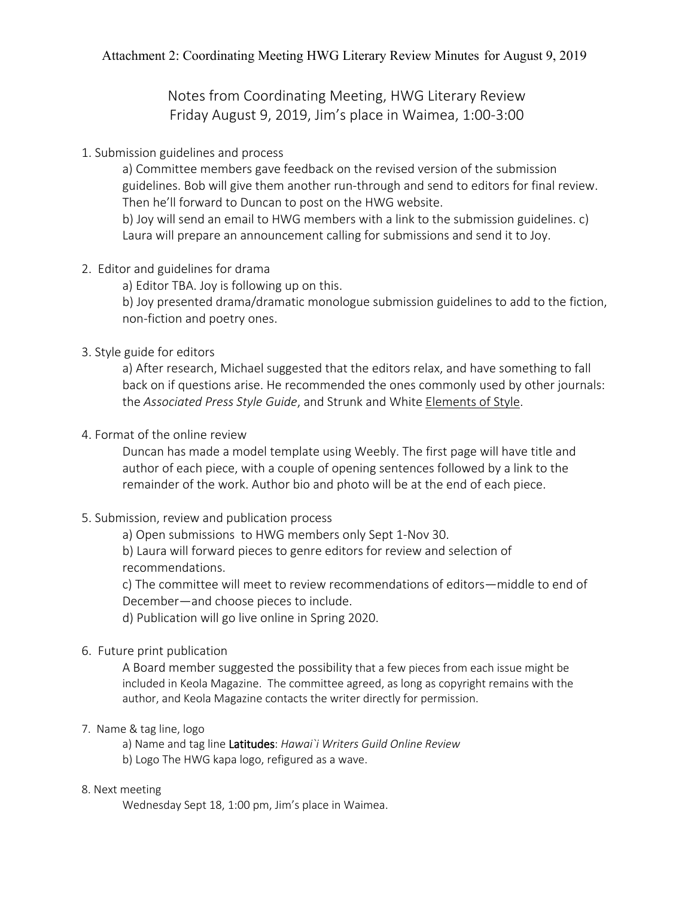Notes from Coordinating Meeting, HWG Literary Review Friday August 9, 2019, Jim's place in Waimea, 1:00-3:00

1. Submission guidelines and process

a) Committee members gave feedback on the revised version of the submission guidelines. Bob will give them another run-through and send to editors for final review. Then he'll forward to Duncan to post on the HWG website.

b) Joy will send an email to HWG members with a link to the submission guidelines. c) Laura will prepare an announcement calling for submissions and send it to Joy.

2. Editor and guidelines for drama

a) Editor TBA. Joy is following up on this.

b) Joy presented drama/dramatic monologue submission guidelines to add to the fiction, non-fiction and poetry ones.

## 3. Style guide for editors

a) After research, Michael suggested that the editors relax, and have something to fall back on if questions arise. He recommended the ones commonly used by other journals: the *Associated Press Style Guide*, and Strunk and White Elements of Style.

## 4. Format of the online review

Duncan has made a model template using Weebly. The first page will have title and author of each piece, with a couple of opening sentences followed by a link to the remainder of the work. Author bio and photo will be at the end of each piece.

5. Submission, review and publication process

a) Open submissions to HWG members only Sept 1-Nov 30.

b) Laura will forward pieces to genre editors for review and selection of recommendations.

c) The committee will meet to review recommendations of editors—middle to end of December—and choose pieces to include.

d) Publication will go live online in Spring 2020.

## 6. Future print publication

A Board member suggested the possibility that a few pieces from each issue might be included in Keola Magazine. The committee agreed, as long as copyright remains with the author, and Keola Magazine contacts the writer directly for permission.

#### 7. Name & tag line, logo

a) Name and tag line Latitudes: *Hawai`i Writers Guild Online Review* b) Logo The HWG kapa logo, refigured as a wave.

#### 8. Next meeting

Wednesday Sept 18, 1:00 pm, Jim's place in Waimea.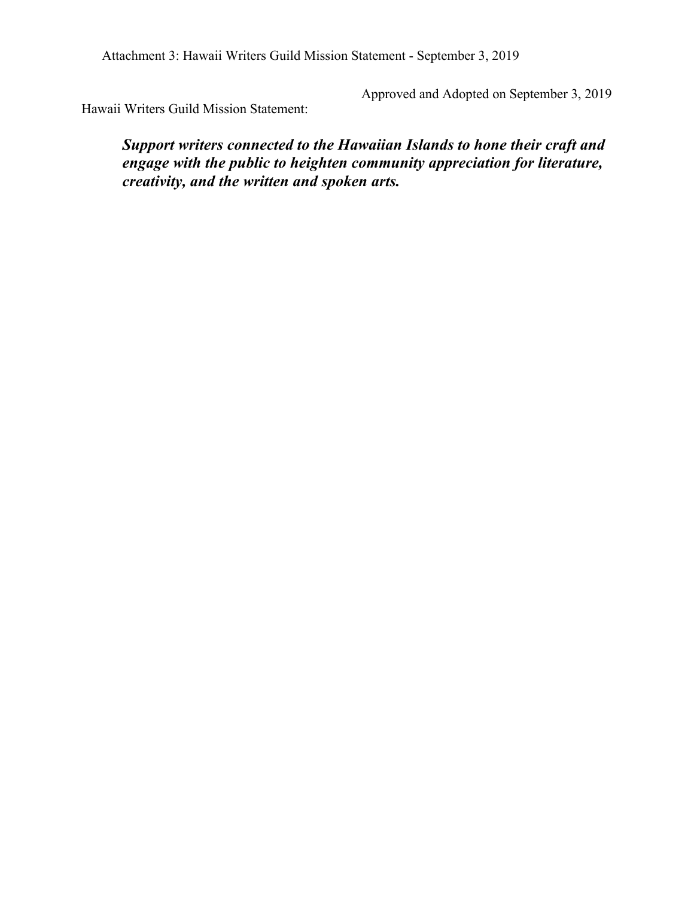Attachment 3: Hawaii Writers Guild Mission Statement - September 3, 2019

Approved and Adopted on September 3, 2019

Hawaii Writers Guild Mission Statement:

*Support writers connected to the Hawaiian Islands to hone their craft and engage with the public to heighten community appreciation for literature, creativity, and the written and spoken arts.*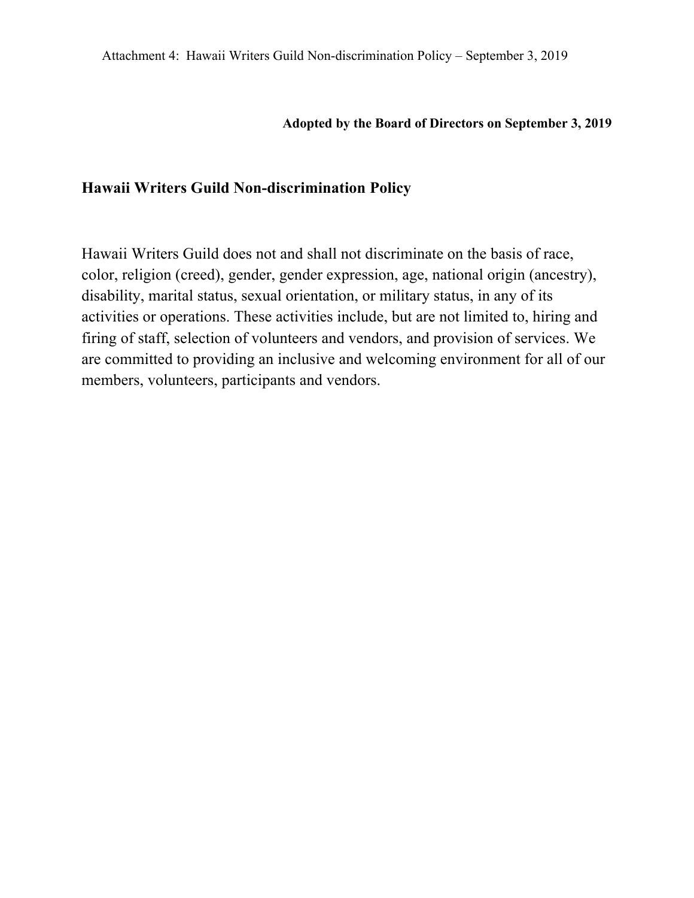#### **Adopted by the Board of Directors on September 3, 2019**

## **Hawaii Writers Guild Non-discrimination Policy**

Hawaii Writers Guild does not and shall not discriminate on the basis of race, color, religion (creed), gender, gender expression, age, national origin (ancestry), disability, marital status, sexual orientation, or military status, in any of its activities or operations. These activities include, but are not limited to, hiring and firing of staff, selection of volunteers and vendors, and provision of services. We are committed to providing an inclusive and welcoming environment for all of our members, volunteers, participants and vendors.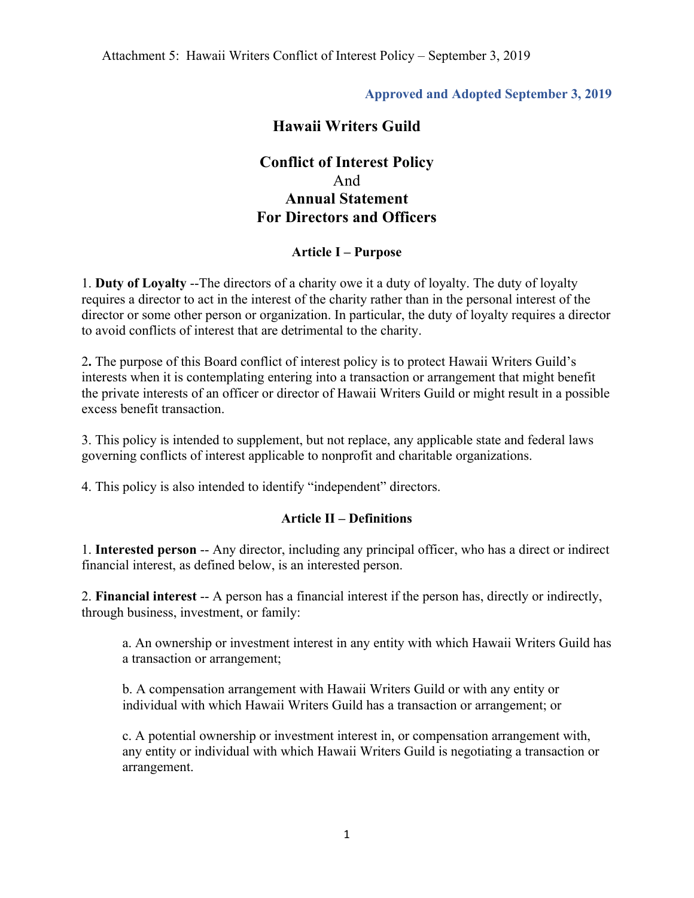#### **Approved and Adopted September 3, 2019**

## **Hawaii Writers Guild**

## **Conflict of Interest Policy** And **Annual Statement For Directors and Officers**

#### **Article I – Purpose**

1. **Duty of Loyalty** --The directors of a charity owe it a duty of loyalty. The duty of loyalty requires a director to act in the interest of the charity rather than in the personal interest of the director or some other person or organization. In particular, the duty of loyalty requires a director to avoid conflicts of interest that are detrimental to the charity.

2**.** The purpose of this Board conflict of interest policy is to protect Hawaii Writers Guild's interests when it is contemplating entering into a transaction or arrangement that might benefit the private interests of an officer or director of Hawaii Writers Guild or might result in a possible excess benefit transaction.

3. This policy is intended to supplement, but not replace, any applicable state and federal laws governing conflicts of interest applicable to nonprofit and charitable organizations.

4. This policy is also intended to identify "independent" directors.

#### **Article II – Definitions**

1. **Interested person** -- Any director, including any principal officer, who has a direct or indirect financial interest, as defined below, is an interested person.

2. **Financial interest** -- A person has a financial interest if the person has, directly or indirectly, through business, investment, or family:

a. An ownership or investment interest in any entity with which Hawaii Writers Guild has a transaction or arrangement;

b. A compensation arrangement with Hawaii Writers Guild or with any entity or individual with which Hawaii Writers Guild has a transaction or arrangement; or

c. A potential ownership or investment interest in, or compensation arrangement with, any entity or individual with which Hawaii Writers Guild is negotiating a transaction or arrangement.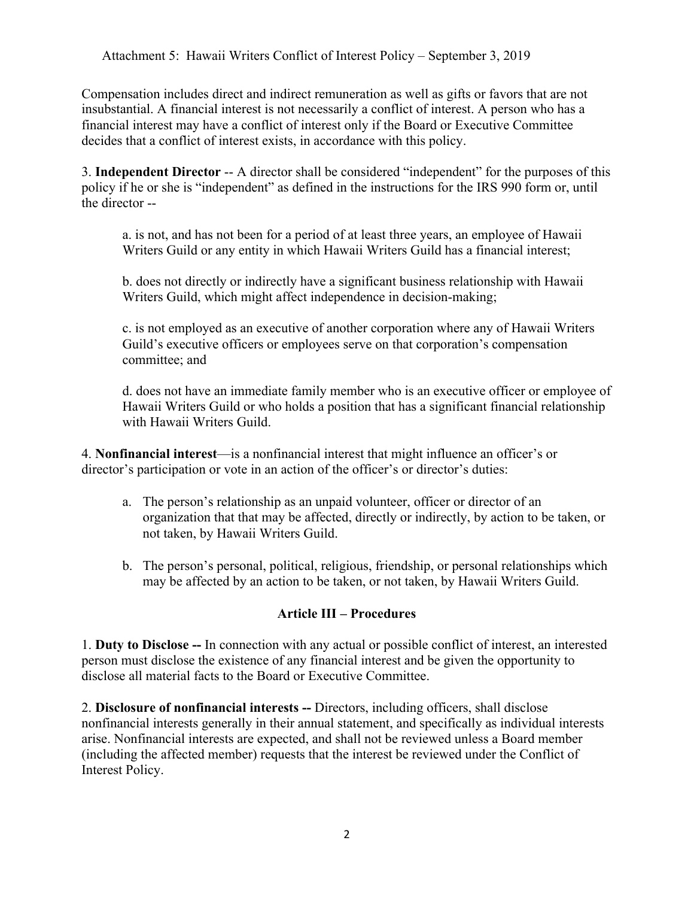Compensation includes direct and indirect remuneration as well as gifts or favors that are not insubstantial. A financial interest is not necessarily a conflict of interest. A person who has a financial interest may have a conflict of interest only if the Board or Executive Committee decides that a conflict of interest exists, in accordance with this policy.

3. **Independent Director** -- A director shall be considered "independent" for the purposes of this policy if he or she is "independent" as defined in the instructions for the IRS 990 form or, until the director --

a. is not, and has not been for a period of at least three years, an employee of Hawaii Writers Guild or any entity in which Hawaii Writers Guild has a financial interest;

b. does not directly or indirectly have a significant business relationship with Hawaii Writers Guild, which might affect independence in decision-making;

c. is not employed as an executive of another corporation where any of Hawaii Writers Guild's executive officers or employees serve on that corporation's compensation committee; and

d. does not have an immediate family member who is an executive officer or employee of Hawaii Writers Guild or who holds a position that has a significant financial relationship with Hawaii Writers Guild.

4. **Nonfinancial interest**—is a nonfinancial interest that might influence an officer's or director's participation or vote in an action of the officer's or director's duties:

- a. The person's relationship as an unpaid volunteer, officer or director of an organization that that may be affected, directly or indirectly, by action to be taken, or not taken, by Hawaii Writers Guild.
- b. The person's personal, political, religious, friendship, or personal relationships which may be affected by an action to be taken, or not taken, by Hawaii Writers Guild.

#### **Article III – Procedures**

1. **Duty to Disclose --** In connection with any actual or possible conflict of interest, an interested person must disclose the existence of any financial interest and be given the opportunity to disclose all material facts to the Board or Executive Committee.

2. **Disclosure of nonfinancial interests --** Directors, including officers, shall disclose nonfinancial interests generally in their annual statement, and specifically as individual interests arise. Nonfinancial interests are expected, and shall not be reviewed unless a Board member (including the affected member) requests that the interest be reviewed under the Conflict of Interest Policy.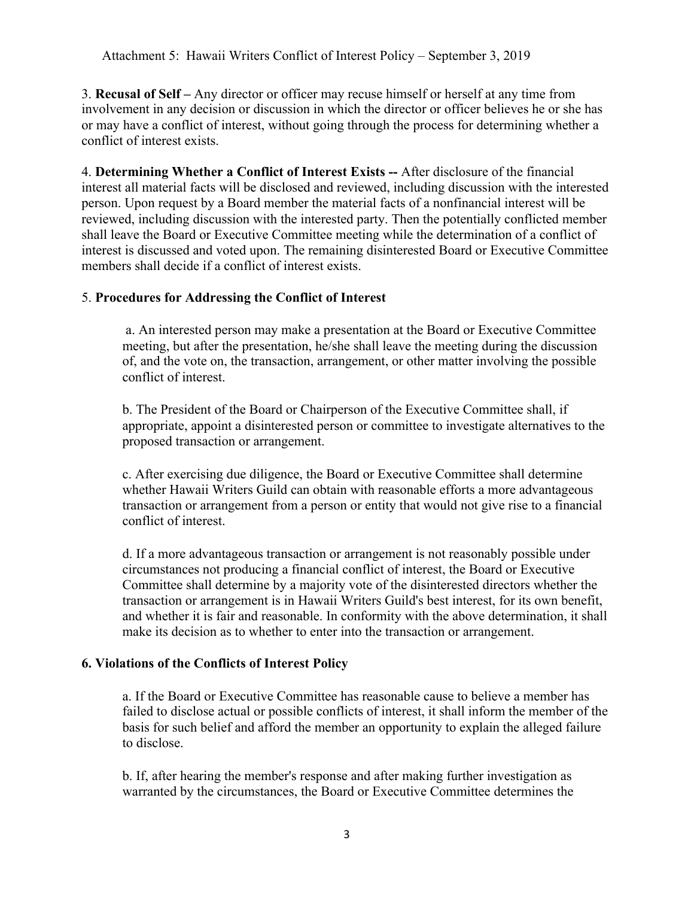3. **Recusal of Self –** Any director or officer may recuse himself or herself at any time from involvement in any decision or discussion in which the director or officer believes he or she has or may have a conflict of interest, without going through the process for determining whether a conflict of interest exists.

4. **Determining Whether a Conflict of Interest Exists --** After disclosure of the financial interest all material facts will be disclosed and reviewed, including discussion with the interested person. Upon request by a Board member the material facts of a nonfinancial interest will be reviewed, including discussion with the interested party. Then the potentially conflicted member shall leave the Board or Executive Committee meeting while the determination of a conflict of interest is discussed and voted upon. The remaining disinterested Board or Executive Committee members shall decide if a conflict of interest exists.

#### 5. **Procedures for Addressing the Conflict of Interest**

a. An interested person may make a presentation at the Board or Executive Committee meeting, but after the presentation, he/she shall leave the meeting during the discussion of, and the vote on, the transaction, arrangement, or other matter involving the possible conflict of interest.

b. The President of the Board or Chairperson of the Executive Committee shall, if appropriate, appoint a disinterested person or committee to investigate alternatives to the proposed transaction or arrangement.

c. After exercising due diligence, the Board or Executive Committee shall determine whether Hawaii Writers Guild can obtain with reasonable efforts a more advantageous transaction or arrangement from a person or entity that would not give rise to a financial conflict of interest.

d. If a more advantageous transaction or arrangement is not reasonably possible under circumstances not producing a financial conflict of interest, the Board or Executive Committee shall determine by a majority vote of the disinterested directors whether the transaction or arrangement is in Hawaii Writers Guild's best interest, for its own benefit, and whether it is fair and reasonable. In conformity with the above determination, it shall make its decision as to whether to enter into the transaction or arrangement.

#### **6. Violations of the Conflicts of Interest Policy**

a. If the Board or Executive Committee has reasonable cause to believe a member has failed to disclose actual or possible conflicts of interest, it shall inform the member of the basis for such belief and afford the member an opportunity to explain the alleged failure to disclose.

b. If, after hearing the member's response and after making further investigation as warranted by the circumstances, the Board or Executive Committee determines the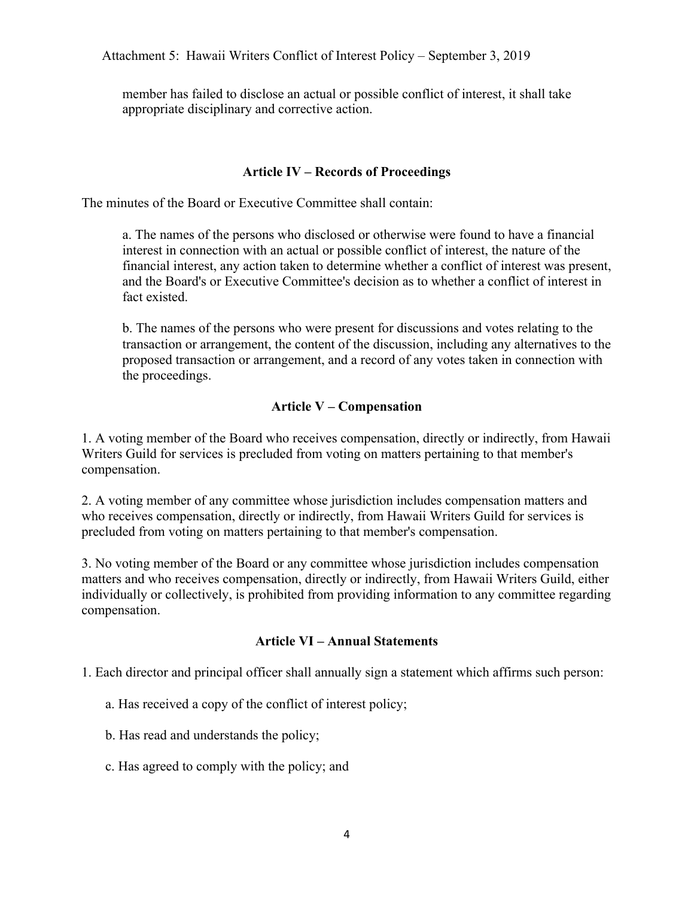member has failed to disclose an actual or possible conflict of interest, it shall take appropriate disciplinary and corrective action.

#### **Article IV – Records of Proceedings**

The minutes of the Board or Executive Committee shall contain:

a. The names of the persons who disclosed or otherwise were found to have a financial interest in connection with an actual or possible conflict of interest, the nature of the financial interest, any action taken to determine whether a conflict of interest was present, and the Board's or Executive Committee's decision as to whether a conflict of interest in fact existed.

b. The names of the persons who were present for discussions and votes relating to the transaction or arrangement, the content of the discussion, including any alternatives to the proposed transaction or arrangement, and a record of any votes taken in connection with the proceedings.

#### **Article V – Compensation**

1. A voting member of the Board who receives compensation, directly or indirectly, from Hawaii Writers Guild for services is precluded from voting on matters pertaining to that member's compensation.

2. A voting member of any committee whose jurisdiction includes compensation matters and who receives compensation, directly or indirectly, from Hawaii Writers Guild for services is precluded from voting on matters pertaining to that member's compensation.

3. No voting member of the Board or any committee whose jurisdiction includes compensation matters and who receives compensation, directly or indirectly, from Hawaii Writers Guild, either individually or collectively, is prohibited from providing information to any committee regarding compensation.

#### **Article VI – Annual Statements**

1. Each director and principal officer shall annually sign a statement which affirms such person:

a. Has received a copy of the conflict of interest policy;

b. Has read and understands the policy;

c. Has agreed to comply with the policy; and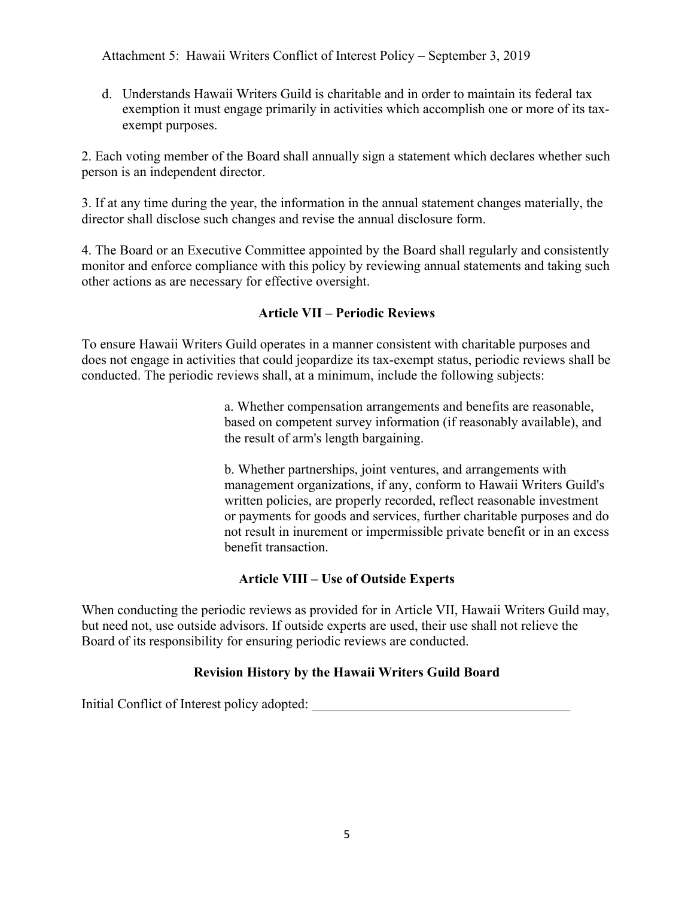d. Understands Hawaii Writers Guild is charitable and in order to maintain its federal tax exemption it must engage primarily in activities which accomplish one or more of its taxexempt purposes.

2. Each voting member of the Board shall annually sign a statement which declares whether such person is an independent director.

3. If at any time during the year, the information in the annual statement changes materially, the director shall disclose such changes and revise the annual disclosure form.

4. The Board or an Executive Committee appointed by the Board shall regularly and consistently monitor and enforce compliance with this policy by reviewing annual statements and taking such other actions as are necessary for effective oversight.

#### **Article VII – Periodic Reviews**

To ensure Hawaii Writers Guild operates in a manner consistent with charitable purposes and does not engage in activities that could jeopardize its tax-exempt status, periodic reviews shall be conducted. The periodic reviews shall, at a minimum, include the following subjects:

> a. Whether compensation arrangements and benefits are reasonable, based on competent survey information (if reasonably available), and the result of arm's length bargaining.

b. Whether partnerships, joint ventures, and arrangements with management organizations, if any, conform to Hawaii Writers Guild's written policies, are properly recorded, reflect reasonable investment or payments for goods and services, further charitable purposes and do not result in inurement or impermissible private benefit or in an excess benefit transaction.

#### **Article VIII – Use of Outside Experts**

When conducting the periodic reviews as provided for in Article VII, Hawaii Writers Guild may, but need not, use outside advisors. If outside experts are used, their use shall not relieve the Board of its responsibility for ensuring periodic reviews are conducted.

#### **Revision History by the Hawaii Writers Guild Board**

Initial Conflict of Interest policy adopted: